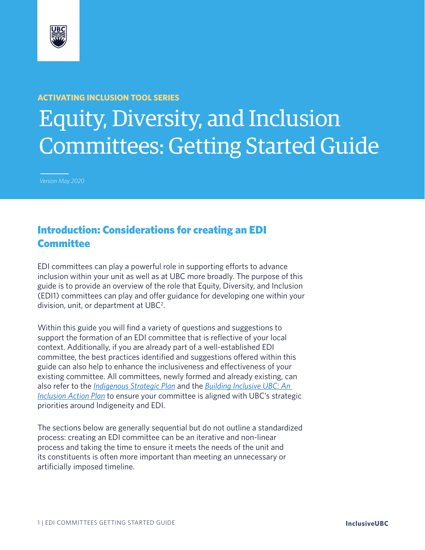

#### **ACTIVATING INCLUSION TOOL SERIES**

# Equity, Diversity, and Inclusion Committees: Getting Started Guide

*Version May 2020*

# Introduction: Considerations for creating an EDI Committee

EDI committees can play a powerful role in supporting efforts to advance inclusion within your unit as well as at UBC more broadly. The purpose of this guide is to provide an overview of the role that Equity, Diversity, and Inclusion (EDI1) committees can play and offer guidance for developing one within your division, unit, or department at  $UBC<sup>2</sup>$ .

Within this guide you will find a variety of questions and suggestions to support the formation of an EDI committee that is reflective of your local context. Additionally, if you are already part of a well-established EDI committee, the best practices identified and suggestions offered within this guide can also help to enhance the inclusiveness and effectiveness of your existing committee. All committees, newly formed and already existing, can also refer to the *Indigenous Strategic Plan* and the *Building Inclusive UBC: An Inclusion Action Plan* to ensure your committee is aligned with UBC's strategic priorities around Indigeneity and EDI.

The sections below are generally sequential but do not outline a standardized process: creating an EDI committee can be an iterative and non-linear process and taking the time to ensure it meets the needs of the unit and its constituents is often more important than meeting an unnecessary or artificially imposed timeline.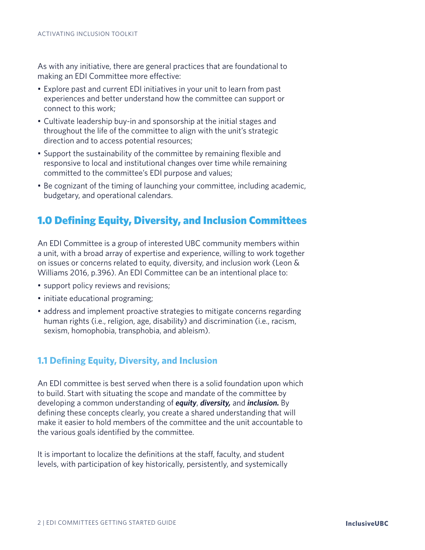As with any initiative, there are general practices that are foundational to making an EDI Committee more effective:

- Explore past and current EDI initiatives in your unit to learn from past experiences and better understand how the committee can support or connect to this work;
- Cultivate leadership buy-in and sponsorship at the initial stages and throughout the life of the committee to align with the unit's strategic direction and to access potential resources;
- Support the sustainability of the committee by remaining flexible and responsive to local and institutional changes over time while remaining committed to the committee's EDI purpose and values;
- Be cognizant of the timing of launching your committee, including academic, budgetary, and operational calendars.

# 1.0 Defining Equity, Diversity, and Inclusion Committees

An EDI Committee is a group of interested UBC community members within a unit, with a broad array of expertise and experience, willing to work together on issues or concerns related to equity, diversity, and inclusion work (Leon & Williams 2016, p.396). An EDI Committee can be an intentional place to:

- support policy reviews and revisions;
- initiate educational programing;
- address and implement proactive strategies to mitigate concerns regarding human rights (i.e., religion, age, disability) and discrimination (i.e., racism, sexism, homophobia, transphobia, and ableism).

#### **1.1 Defining Equity, Diversity, and Inclusion**

An EDI committee is best served when there is a solid foundation upon which to build. Start with situating the scope and mandate of the committee by developing a common understanding of *equity*, *diversity,* and *inclusion.* By defining these concepts clearly, you create a shared understanding that will make it easier to hold members of the committee and the unit accountable to the various goals identified by the committee.

It is important to localize the definitions at the staff, faculty, and student levels, with participation of key historically, persistently, and systemically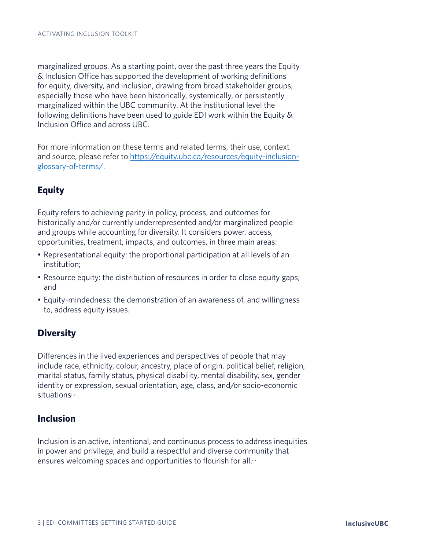marginalized groups. As a starting point, over the past three years the Equity & Inclusion Office has supported the development of working definitions for equity, diversity, and inclusion, drawing from broad stakeholder groups, especially those who have been historically, systemically, or persistently marginalized within the UBC community. At the institutional level the following definitions have been used to guide EDI work within the Equity & Inclusion Office and across UBC.

For more information on these terms and related terms, their use, context and source, please refer to https://equity.ubc.ca/resources/equity-inclusionglossary-of-terms/.

## **Equity**

Equity refers to achieving parity in policy, process, and outcomes for historically and/or currently underrepresented and/or marginalized people and groups while accounting for diversity. It considers power, access, opportunities, treatment, impacts, and outcomes, in three main areas:

- Representational equity: the proportional participation at all levels of an institution;
- Resource equity: the distribution of resources in order to close equity gaps; and
- Equity-mindedness: the demonstration of an awareness of, and willingness to, address equity issues.

## **Diversity**

Differences in the lived experiences and perspectives of people that may include race, ethnicity, colour, ancestry, place of origin, political belief, religion, marital status, family status, physical disability, mental disability, sex, gender identity or expression, sexual orientation, age, class, and/or socio-economic situations<sup>, ,</sup> .

## **Inclusion**

Inclusion is an active, intentional, and continuous process to address inequities in power and privilege, and build a respectful and diverse community that ensures welcoming spaces and opportunities to flourish for all. $\cdot$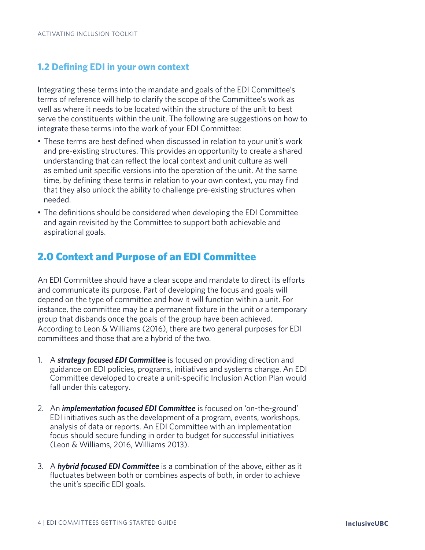## **1.2 Defining EDI in your own context**

Integrating these terms into the mandate and goals of the EDI Committee's terms of reference will help to clarify the scope of the Committee's work as well as where it needs to be located within the structure of the unit to best serve the constituents within the unit. The following are suggestions on how to integrate these terms into the work of your EDI Committee:

- These terms are best defined when discussed in relation to your unit's work and pre-existing structures. This provides an opportunity to create a shared understanding that can reflect the local context and unit culture as well as embed unit specific versions into the operation of the unit. At the same time, by defining these terms in relation to your own context, you may find that they also unlock the ability to challenge pre-existing structures when needed.
- The definitions should be considered when developing the EDI Committee and again revisited by the Committee to support both achievable and aspirational goals.

## 2.0 Context and Purpose of an EDI Committee

An EDI Committee should have a clear scope and mandate to direct its efforts and communicate its purpose. Part of developing the focus and goals will depend on the type of committee and how it will function within a unit. For instance, the committee may be a permanent fixture in the unit or a temporary group that disbands once the goals of the group have been achieved. According to Leon & Williams (2016), there are two general purposes for EDI committees and those that are a hybrid of the two.

- 1. A *strategy focused EDI Committee* is focused on providing direction and guidance on EDI policies, programs, initiatives and systems change. An EDI Committee developed to create a unit-specific Inclusion Action Plan would fall under this category.
- 2. An *implementation focused EDI Committee* is focused on 'on-the-ground' EDI initiatives such as the development of a program, events, workshops, analysis of data or reports. An EDI Committee with an implementation focus should secure funding in order to budget for successful initiatives (Leon & Williams, 2016, Williams 2013).
- 3. A *hybrid focused EDI Committee* is a combination of the above, either as it fluctuates between both or combines aspects of both, in order to achieve the unit's specific EDI goals.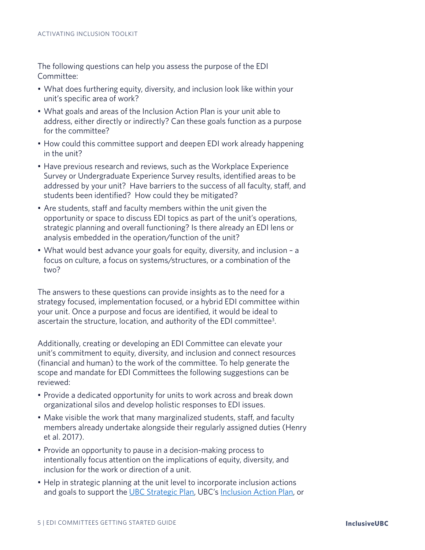The following questions can help you assess the purpose of the EDI Committee:

- What does furthering equity, diversity, and inclusion look like within your unit's specific area of work?
- What goals and areas of the Inclusion Action Plan is your unit able to address, either directly or indirectly? Can these goals function as a purpose for the committee?
- How could this committee support and deepen EDI work already happening in the unit?
- Have previous research and reviews, such as the Workplace Experience Survey or Undergraduate Experience Survey results, identified areas to be addressed by your unit? Have barriers to the success of all faculty, staff, and students been identified? How could they be mitigated?
- Are students, staff and faculty members within the unit given the opportunity or space to discuss EDI topics as part of the unit's operations, strategic planning and overall functioning? Is there already an EDI lens or analysis embedded in the operation/function of the unit?
- What would best advance your goals for equity, diversity, and inclusion a focus on culture, a focus on systems/structures, or a combination of the two?

The answers to these questions can provide insights as to the need for a strategy focused, implementation focused, or a hybrid EDI committee within your unit. Once a purpose and focus are identified, it would be ideal to ascertain the structure, location, and authority of the EDI committee<sup>3</sup>.

Additionally, creating or developing an EDI Committee can elevate your unit's commitment to equity, diversity, and inclusion and connect resources (financial and human) to the work of the committee. To help generate the scope and mandate for EDI Committees the following suggestions can be reviewed:

- Provide a dedicated opportunity for units to work across and break down organizational silos and develop holistic responses to EDI issues.
- Make visible the work that many marginalized students, staff, and faculty members already undertake alongside their regularly assigned duties (Henry et al. 2017).
- Provide an opportunity to pause in a decision-making process to intentionally focus attention on the implications of equity, diversity, and inclusion for the work or direction of a unit.
- Help in strategic planning at the unit level to incorporate inclusion actions and goals to support the UBC Strategic Plan, UBC's Inclusion Action Plan, or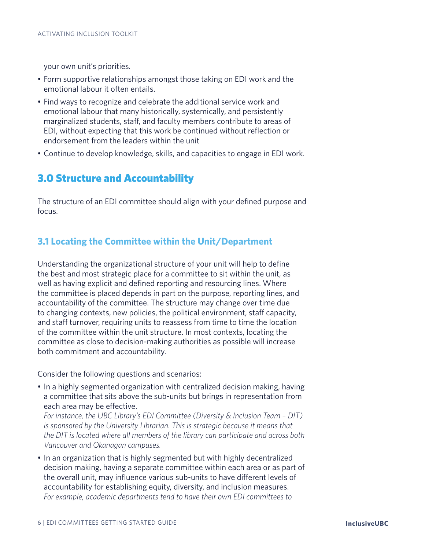your own unit's priorities.

- Form supportive relationships amongst those taking on EDI work and the emotional labour it often entails.
- Find ways to recognize and celebrate the additional service work and emotional labour that many historically, systemically, and persistently marginalized students, staff, and faculty members contribute to areas of EDI, without expecting that this work be continued without reflection or endorsement from the leaders within the unit
- Continue to develop knowledge, skills, and capacities to engage in EDI work.

# 3.0 Structure and Accountability

The structure of an EDI committee should align with your defined purpose and focus.

## **3.1 Locating the Committee within the Unit/Department**

Understanding the organizational structure of your unit will help to define the best and most strategic place for a committee to sit within the unit, as well as having explicit and defined reporting and resourcing lines. Where the committee is placed depends in part on the purpose, reporting lines, and accountability of the committee. The structure may change over time due to changing contexts, new policies, the political environment, staff capacity, and staff turnover, requiring units to reassess from time to time the location of the committee within the unit structure. In most contexts, locating the committee as close to decision-making authorities as possible will increase both commitment and accountability.

Consider the following questions and scenarios:

• In a highly segmented organization with centralized decision making, having a committee that sits above the sub-units but brings in representation from each area may be effective.

*For instance, the UBC Library's EDI Committee (Diversity & Inclusion Team – DIT) is sponsored by the University Librarian. This is strategic because it means that the DIT is located where all members of the library can participate and across both Vancouver and Okanagan campuses.* 

• In an organization that is highly segmented but with highly decentralized decision making, having a separate committee within each area or as part of the overall unit, may influence various sub-units to have different levels of accountability for establishing equity, diversity, and inclusion measures. *For example, academic departments tend to have their own EDI committees to*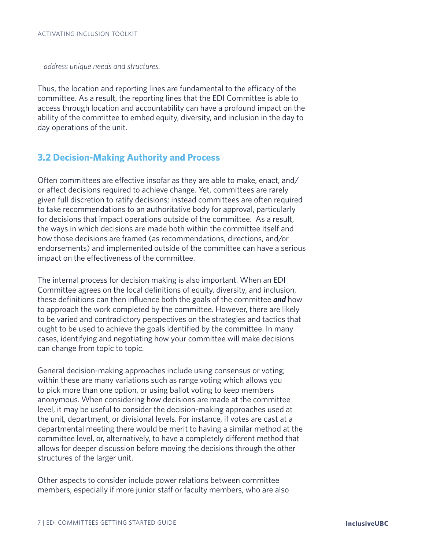*address unique needs and structures.* 

Thus, the location and reporting lines are fundamental to the efficacy of the committee. As a result, the reporting lines that the EDI Committee is able to access through location and accountability can have a profound impact on the ability of the committee to embed equity, diversity, and inclusion in the day to day operations of the unit.

## **3.2 Decision-Making Authority and Process**

Often committees are effective insofar as they are able to make, enact, and/ or affect decisions required to achieve change. Yet, committees are rarely given full discretion to ratify decisions; instead committees are often required to take recommendations to an authoritative body for approval, particularly for decisions that impact operations outside of the committee. As a result, the ways in which decisions are made both within the committee itself and how those decisions are framed (as recommendations, directions, and/or endorsements) and implemented outside of the committee can have a serious impact on the effectiveness of the committee.

The internal process for decision making is also important. When an EDI Committee agrees on the local definitions of equity, diversity, and inclusion, these definitions can then influence both the goals of the committee *and* how to approach the work completed by the committee. However, there are likely to be varied and contradictory perspectives on the strategies and tactics that ought to be used to achieve the goals identified by the committee. In many cases, identifying and negotiating how your committee will make decisions can change from topic to topic.

General decision-making approaches include using consensus or voting; within these are many variations such as range voting which allows you to pick more than one option, or using ballot voting to keep members anonymous. When considering how decisions are made at the committee level, it may be useful to consider the decision-making approaches used at the unit, department, or divisional levels. For instance, if votes are cast at a departmental meeting there would be merit to having a similar method at the committee level, or, alternatively, to have a completely different method that allows for deeper discussion before moving the decisions through the other structures of the larger unit.

Other aspects to consider include power relations between committee members, especially if more junior staff or faculty members, who are also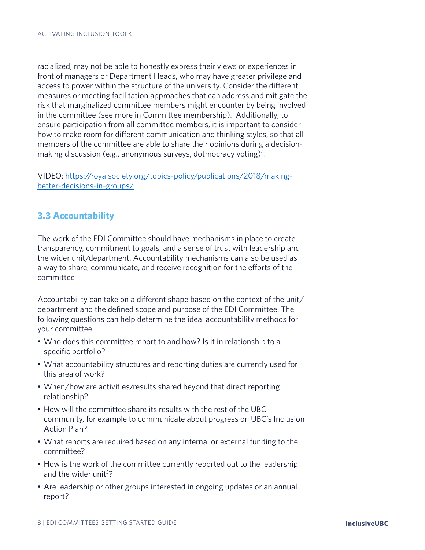racialized, may not be able to honestly express their views or experiences in front of managers or Department Heads, who may have greater privilege and access to power within the structure of the university. Consider the different measures or meeting facilitation approaches that can address and mitigate the risk that marginalized committee members might encounter by being involved in the committee (see more in Committee membership). Additionally, to ensure participation from all committee members, it is important to consider how to make room for different communication and thinking styles, so that all members of the committee are able to share their opinions during a decisionmaking discussion (e.g., anonymous surveys, dotmocracy voting)<sup>4</sup>.

VIDEO: https://royalsociety.org/topics-policy/publications/2018/makingbetter-decisions-in-groups/

## **3.3 Accountability**

The work of the EDI Committee should have mechanisms in place to create transparency, commitment to goals, and a sense of trust with leadership and the wider unit/department. Accountability mechanisms can also be used as a way to share, communicate, and receive recognition for the efforts of the committee

Accountability can take on a different shape based on the context of the unit/ department and the defined scope and purpose of the EDI Committee. The following questions can help determine the ideal accountability methods for your committee.

- Who does this committee report to and how? Is it in relationship to a specific portfolio?
- What accountability structures and reporting duties are currently used for this area of work?
- When/how are activities/results shared beyond that direct reporting relationship?
- How will the committee share its results with the rest of the UBC community, for example to communicate about progress on UBC's Inclusion Action Plan?
- What reports are required based on any internal or external funding to the committee?
- How is the work of the committee currently reported out to the leadership and the wider unit<sup>5</sup>?
- Are leadership or other groups interested in ongoing updates or an annual report?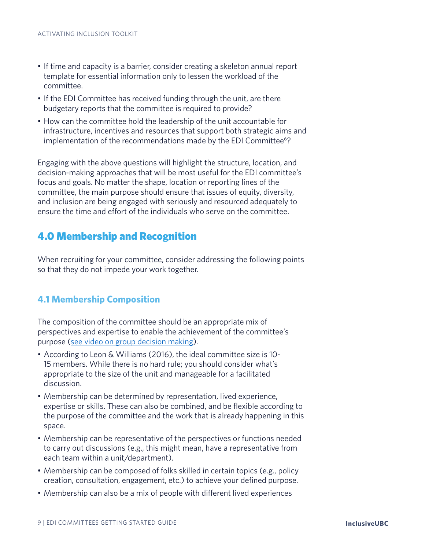- If time and capacity is a barrier, consider creating a skeleton annual report template for essential information only to lessen the workload of the committee.
- If the EDI Committee has received funding through the unit, are there budgetary reports that the committee is required to provide?
- How can the committee hold the leadership of the unit accountable for infrastructure, incentives and resources that support both strategic aims and implementation of the recommendations made by the EDI Committee<sup>6</sup>?

Engaging with the above questions will highlight the structure, location, and decision-making approaches that will be most useful for the EDI committee's focus and goals. No matter the shape, location or reporting lines of the committee, the main purpose should ensure that issues of equity, diversity, and inclusion are being engaged with seriously and resourced adequately to ensure the time and effort of the individuals who serve on the committee.

# 4.0 Membership and Recognition

When recruiting for your committee, consider addressing the following points so that they do not impede your work together.

## **4.1 Membership Composition**

The composition of the committee should be an appropriate mix of perspectives and expertise to enable the achievement of the committee's purpose (see video on group decision making).

- According to Leon & Williams (2016), the ideal committee size is 10- 15 members. While there is no hard rule; you should consider what's appropriate to the size of the unit and manageable for a facilitated discussion.
- Membership can be determined by representation, lived experience, expertise or skills. These can also be combined, and be flexible according to the purpose of the committee and the work that is already happening in this space.
- Membership can be representative of the perspectives or functions needed to carry out discussions (e.g., this might mean, have a representative from each team within a unit/department).
- Membership can be composed of folks skilled in certain topics (e.g., policy creation, consultation, engagement, etc.) to achieve your defined purpose.
- Membership can also be a mix of people with different lived experiences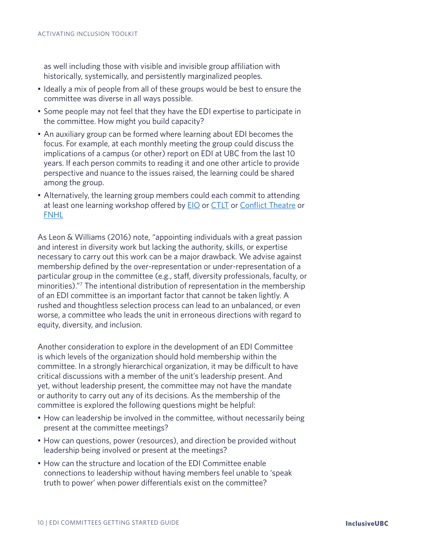as well including those with visible and invisible group affiliation with historically, systemically, and persistently marginalized peoples.

- Ideally a mix of people from all of these groups would be best to ensure the committee was diverse in all ways possible.
- Some people may not feel that they have the EDI expertise to participate in the committee. How might you build capacity?
- An auxiliary group can be formed where learning about EDI becomes the focus. For example, at each monthly meeting the group could discuss the implications of a campus (or other) report on EDI at UBC from the last 10 years. If each person commits to reading it and one other article to provide perspective and nuance to the issues raised, the learning could be shared among the group.
- Alternatively, the learning group members could each commit to attending at least one learning workshop offered by **EIO** or CTLT or Conflict Theatre or FNHL

As Leon & Williams (2016) note, "appointing individuals with a great passion and interest in diversity work but lacking the authority, skills, or expertise necessary to carry out this work can be a major drawback. We advise against membership defined by the over-representation or under-representation of a particular group in the committee (e.g., staff, diversity professionals, faculty, or minorities)."7 The intentional distribution of representation in the membership of an EDI committee is an important factor that cannot be taken lightly. A rushed and thoughtless selection process can lead to an unbalanced, or even worse, a committee who leads the unit in erroneous directions with regard to equity, diversity, and inclusion.

Another consideration to explore in the development of an EDI Committee is which levels of the organization should hold membership within the committee. In a strongly hierarchical organization, it may be difficult to have critical discussions with a member of the unit's leadership present. And yet, without leadership present, the committee may not have the mandate or authority to carry out any of its decisions. As the membership of the committee is explored the following questions might be helpful:

- How can leadership be involved in the committee, without necessarily being present at the committee meetings?
- How can questions, power (resources), and direction be provided without leadership being involved or present at the meetings?
- How can the structure and location of the EDI Committee enable connections to leadership without having members feel unable to 'speak truth to power' when power differentials exist on the committee?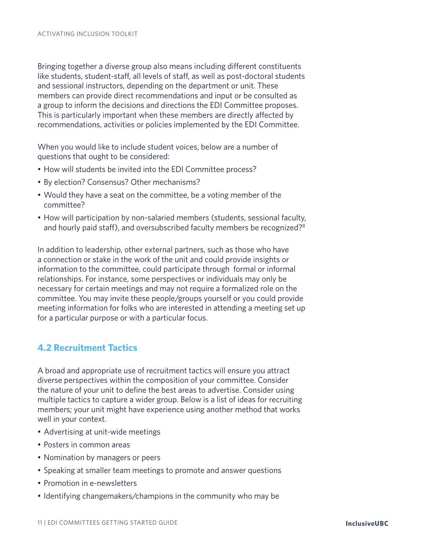Bringing together a diverse group also means including different constituents like students, student-staff, all levels of staff, as well as post-doctoral students and sessional instructors, depending on the department or unit. These members can provide direct recommendations and input or be consulted as a group to inform the decisions and directions the EDI Committee proposes. This is particularly important when these members are directly affected by recommendations, activities or policies implemented by the EDI Committee.

When you would like to include student voices, below are a number of questions that ought to be considered:

- How will students be invited into the EDI Committee process?
- By election? Consensus? Other mechanisms?
- Would they have a seat on the committee, be a voting member of the committee?
- How will participation by non-salaried members (students, sessional faculty, and hourly paid staff), and oversubscribed faculty members be recognized?<sup>8</sup>

In addition to leadership, other external partners, such as those who have a connection or stake in the work of the unit and could provide insights or information to the committee, could participate through formal or informal relationships. For instance, some perspectives or individuals may only be necessary for certain meetings and may not require a formalized role on the committee. You may invite these people/groups yourself or you could provide meeting information for folks who are interested in attending a meeting set up for a particular purpose or with a particular focus.

#### **4.2 Recruitment Tactics**

A broad and appropriate use of recruitment tactics will ensure you attract diverse perspectives within the composition of your committee. Consider the nature of your unit to define the best areas to advertise. Consider using multiple tactics to capture a wider group. Below is a list of ideas for recruiting members; your unit might have experience using another method that works well in your context.

- Advertising at unit-wide meetings
- Posters in common areas
- Nomination by managers or peers
- Speaking at smaller team meetings to promote and answer questions
- Promotion in e-newsletters
- Identifying changemakers/champions in the community who may be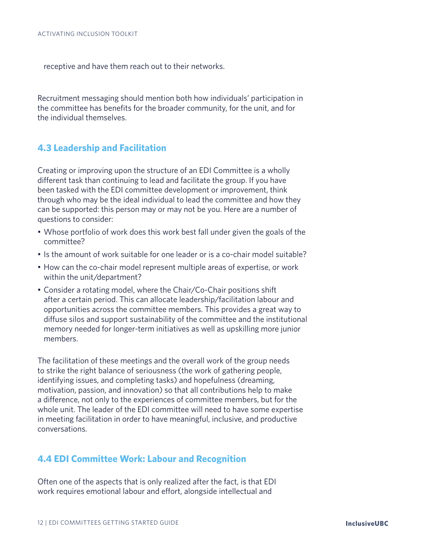receptive and have them reach out to their networks.

Recruitment messaging should mention both how individuals' participation in the committee has benefits for the broader community, for the unit, and for the individual themselves.

#### **4.3 Leadership and Facilitation**

Creating or improving upon the structure of an EDI Committee is a wholly different task than continuing to lead and facilitate the group. If you have been tasked with the EDI committee development or improvement, think through who may be the ideal individual to lead the committee and how they can be supported: this person may or may not be you. Here are a number of questions to consider:

- Whose portfolio of work does this work best fall under given the goals of the committee?
- Is the amount of work suitable for one leader or is a co-chair model suitable?
- How can the co-chair model represent multiple areas of expertise, or work within the unit/department?
- Consider a rotating model, where the Chair/Co-Chair positions shift after a certain period. This can allocate leadership/facilitation labour and opportunities across the committee members. This provides a great way to diffuse silos and support sustainability of the committee and the institutional memory needed for longer-term initiatives as well as upskilling more junior members.

The facilitation of these meetings and the overall work of the group needs to strike the right balance of seriousness (the work of gathering people, identifying issues, and completing tasks) and hopefulness (dreaming, motivation, passion, and innovation) so that all contributions help to make a difference, not only to the experiences of committee members, but for the whole unit. The leader of the EDI committee will need to have some expertise in meeting facilitation in order to have meaningful, inclusive, and productive conversations.

#### **4.4 EDI Committee Work: Labour and Recognition**

Often one of the aspects that is only realized after the fact, is that EDI work requires emotional labour and effort, alongside intellectual and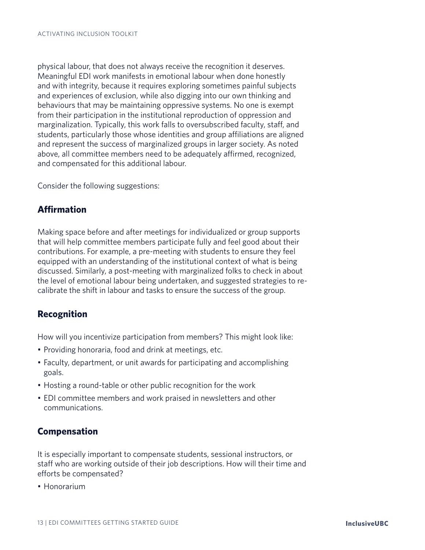physical labour, that does not always receive the recognition it deserves. Meaningful EDI work manifests in emotional labour when done honestly and with integrity, because it requires exploring sometimes painful subjects and experiences of exclusion, while also digging into our own thinking and behaviours that may be maintaining oppressive systems. No one is exempt from their participation in the institutional reproduction of oppression and marginalization. Typically, this work falls to oversubscribed faculty, staff, and students, particularly those whose identities and group affiliations are aligned and represent the success of marginalized groups in larger society. As noted above, all committee members need to be adequately affirmed, recognized, and compensated for this additional labour.

Consider the following suggestions:

### **Affirmation**

Making space before and after meetings for individualized or group supports that will help committee members participate fully and feel good about their contributions. For example, a pre-meeting with students to ensure they feel equipped with an understanding of the institutional context of what is being discussed. Similarly, a post-meeting with marginalized folks to check in about the level of emotional labour being undertaken, and suggested strategies to recalibrate the shift in labour and tasks to ensure the success of the group.

#### **Recognition**

How will you incentivize participation from members? This might look like:

- Providing honoraria, food and drink at meetings, etc.
- Faculty, department, or unit awards for participating and accomplishing goals.
- Hosting a round-table or other public recognition for the work
- EDI committee members and work praised in newsletters and other communications.

#### **Compensation**

It is especially important to compensate students, sessional instructors, or staff who are working outside of their job descriptions. How will their time and efforts be compensated?

• Honorarium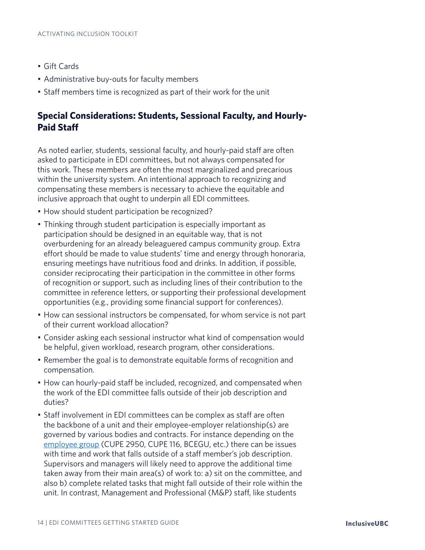- Gift Cards
- Administrative buy-outs for faculty members
- Staff members time is recognized as part of their work for the unit

## **Special Considerations: Students, Sessional Faculty, and Hourly-Paid Staff**

As noted earlier, students, sessional faculty, and hourly-paid staff are often asked to participate in EDI committees, but not always compensated for this work. These members are often the most marginalized and precarious within the university system. An intentional approach to recognizing and compensating these members is necessary to achieve the equitable and inclusive approach that ought to underpin all EDI committees.

- How should student participation be recognized?
- Thinking through student participation is especially important as participation should be designed in an equitable way, that is not overburdening for an already beleaguered campus community group. Extra effort should be made to value students' time and energy through honoraria, ensuring meetings have nutritious food and drinks. In addition, if possible, consider reciprocating their participation in the committee in other forms of recognition or support, such as including lines of their contribution to the committee in reference letters, or supporting their professional development opportunities (e.g., providing some financial support for conferences).
- How can sessional instructors be compensated, for whom service is not part of their current workload allocation?
- Consider asking each sessional instructor what kind of compensation would be helpful, given workload, research program, other considerations.
- Remember the goal is to demonstrate equitable forms of recognition and compensation.
- How can hourly-paid staff be included, recognized, and compensated when the work of the EDI committee falls outside of their job description and duties?
- Staff involvement in EDI committees can be complex as staff are often the backbone of a unit and their employee-employer relationship(s) are governed by various bodies and contracts. For instance depending on the employee group (CUPE 2950, CUPE 116, BCEGU, etc.) there can be issues with time and work that falls outside of a staff member's job description. Supervisors and managers will likely need to approve the additional time taken away from their main area(s) of work to: a) sit on the committee, and also b) complete related tasks that might fall outside of their role within the unit. In contrast, Management and Professional (M&P) staff, like students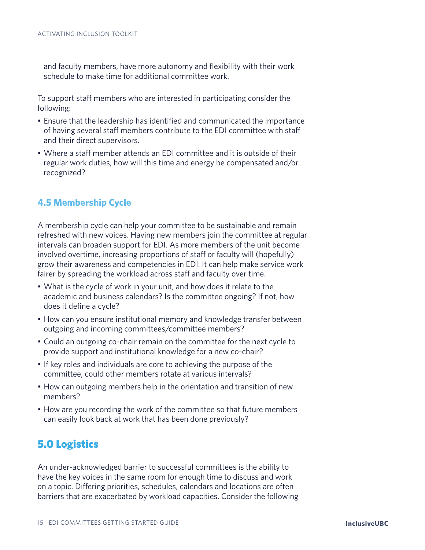and faculty members, have more autonomy and flexibility with their work schedule to make time for additional committee work.

To support staff members who are interested in participating consider the following:

- Ensure that the leadership has identified and communicated the importance of having several staff members contribute to the EDI committee with staff and their direct supervisors.
- Where a staff member attends an EDI committee and it is outside of their regular work duties, how will this time and energy be compensated and/or recognized?

## **4.5 Membership Cycle**

A membership cycle can help your committee to be sustainable and remain refreshed with new voices. Having new members join the committee at regular intervals can broaden support for EDI. As more members of the unit become involved overtime, increasing proportions of staff or faculty will (hopefully) grow their awareness and competencies in EDI. It can help make service work fairer by spreading the workload across staff and faculty over time.

- What is the cycle of work in your unit, and how does it relate to the academic and business calendars? Is the committee ongoing? If not, how does it define a cycle?
- How can you ensure institutional memory and knowledge transfer between outgoing and incoming committees/committee members?
- Could an outgoing co-chair remain on the committee for the next cycle to provide support and institutional knowledge for a new co-chair?
- If key roles and individuals are core to achieving the purpose of the committee, could other members rotate at various intervals?
- How can outgoing members help in the orientation and transition of new members?
- How are you recording the work of the committee so that future members can easily look back at work that has been done previously?

# 5.0 Logistics

An under-acknowledged barrier to successful committees is the ability to have the key voices in the same room for enough time to discuss and work on a topic. Differing priorities, schedules, calendars and locations are often barriers that are exacerbated by workload capacities. Consider the following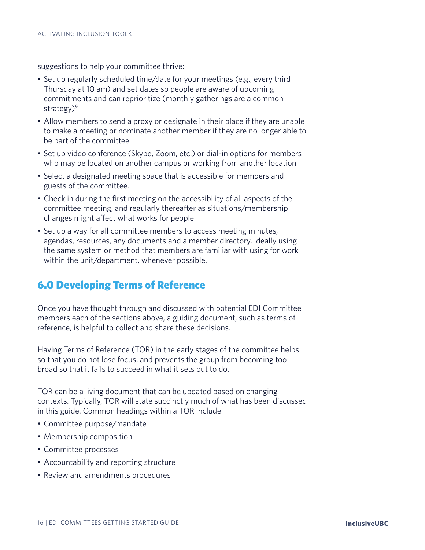suggestions to help your committee thrive:

- Set up regularly scheduled time/date for your meetings (e.g., every third Thursday at 10 am) and set dates so people are aware of upcoming commitments and can reprioritize (monthly gatherings are a common strategy)<sup>9</sup>
- Allow members to send a proxy or designate in their place if they are unable to make a meeting or nominate another member if they are no longer able to be part of the committee
- Set up video conference (Skype, Zoom, etc.) or dial-in options for members who may be located on another campus or working from another location
- Select a designated meeting space that is accessible for members and guests of the committee.
- Check in during the first meeting on the accessibility of all aspects of the committee meeting, and regularly thereafter as situations/membership changes might affect what works for people.
- Set up a way for all committee members to access meeting minutes, agendas, resources, any documents and a member directory, ideally using the same system or method that members are familiar with using for work within the unit/department, whenever possible.

# 6.0 Developing Terms of Reference

Once you have thought through and discussed with potential EDI Committee members each of the sections above, a guiding document, such as terms of reference, is helpful to collect and share these decisions.

Having Terms of Reference (TOR) in the early stages of the committee helps so that you do not lose focus, and prevents the group from becoming too broad so that it fails to succeed in what it sets out to do.

TOR can be a living document that can be updated based on changing contexts. Typically, TOR will state succinctly much of what has been discussed in this guide. Common headings within a TOR include:

- Committee purpose/mandate
- Membership composition
- Committee processes
- Accountability and reporting structure
- Review and amendments procedures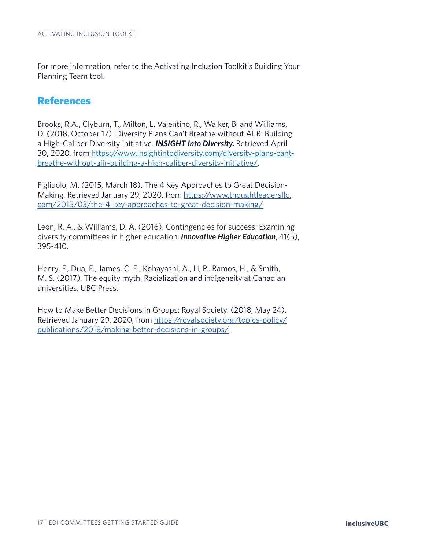For more information, refer to the Activating Inclusion Toolkit's Building Your Planning Team tool.

## References

Brooks, R.A., Clyburn, T., Milton, L. Valentino, R., Walker, B. and Williams, D. (2018, October 17). Diversity Plans Can't Breathe without AIIR: Building a High-Caliber Diversity Initiative. *INSIGHT Into Diversity.* Retrieved April 30, 2020, from https://www.insightintodiversity.com/diversity-plans-cantbreathe-without-aiir-building-a-high-caliber-diversity-initiative/.

Figliuolo, M. (2015, March 18). The 4 Key Approaches to Great Decision-Making. Retrieved January 29, 2020, from https://www.thoughtleadersllc. com/2015/03/the-4-key-approaches-to-great-decision-making/

Leon, R. A., & Williams, D. A. (2016). Contingencies for success: Examining diversity committees in higher education. *Innovative Higher Education*, 41(5), 395-410.

Henry, F., Dua, E., James, C. E., Kobayashi, A., Li, P., Ramos, H., & Smith, M. S. (2017). The equity myth: Racialization and indigeneity at Canadian universities. UBC Press.

How to Make Better Decisions in Groups: Royal Society. (2018, May 24). Retrieved January 29, 2020, from https://royalsociety.org/topics-policy/ publications/2018/making-better-decisions-in-groups/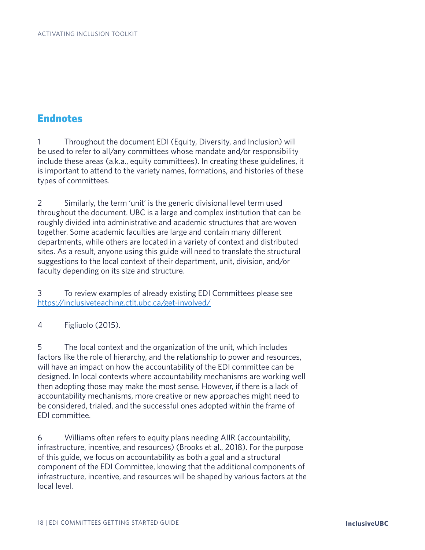# **Endnotes**

1 Throughout the document EDI (Equity, Diversity, and Inclusion) will be used to refer to all/any committees whose mandate and/or responsibility include these areas (a.k.a., equity committees). In creating these guidelines, it is important to attend to the variety names, formations, and histories of these types of committees.

2 Similarly, the term 'unit' is the generic divisional level term used throughout the document. UBC is a large and complex institution that can be roughly divided into administrative and academic structures that are woven together. Some academic faculties are large and contain many different departments, while others are located in a variety of context and distributed sites. As a result, anyone using this guide will need to translate the structural suggestions to the local context of their department, unit, division, and/or faculty depending on its size and structure.

3 To review examples of already existing EDI Committees please see https://inclusiveteaching.ctlt.ubc.ca/get-involved/

4 Figliuolo (2015).

5 The local context and the organization of the unit, which includes factors like the role of hierarchy, and the relationship to power and resources, will have an impact on how the accountability of the EDI committee can be designed. In local contexts where accountability mechanisms are working well then adopting those may make the most sense. However, if there is a lack of accountability mechanisms, more creative or new approaches might need to be considered, trialed, and the successful ones adopted within the frame of EDI committee.

6 Williams often refers to equity plans needing AIIR (accountability, infrastructure, incentive, and resources) (Brooks et al., 2018). For the purpose of this guide, we focus on accountability as both a goal and a structural component of the EDI Committee, knowing that the additional components of infrastructure, incentive, and resources will be shaped by various factors at the local level.